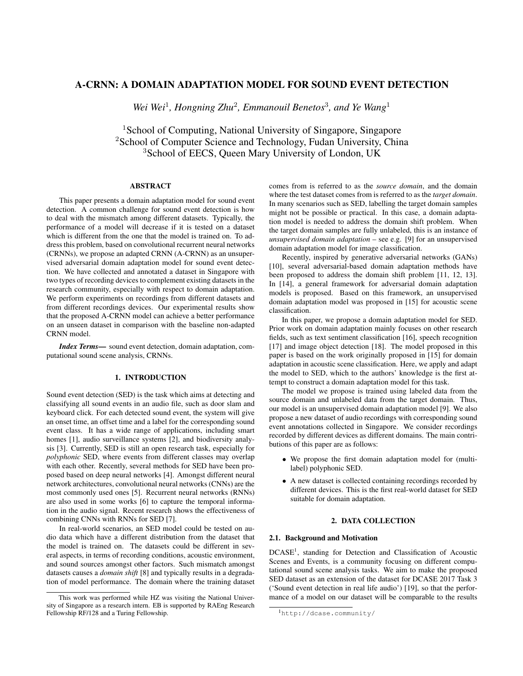# A-CRNN: A DOMAIN ADAPTATION MODEL FOR SOUND EVENT DETECTION

Wei Wei<sup>1</sup>, Hongning Zhu<sup>2</sup>, Emmanouil Benetos<sup>3</sup>, and Ye Wang<sup>1</sup>

<sup>1</sup> School of Computing, National University of Singapore, Singapore <sup>2</sup>School of Computer Science and Technology, Fudan University, China <sup>3</sup>School of EECS, Queen Mary University of London, UK

# ABSTRACT

This paper presents a domain adaptation model for sound event detection. A common challenge for sound event detection is how to deal with the mismatch among different datasets. Typically, the performance of a model will decrease if it is tested on a dataset which is different from the one that the model is trained on. To address this problem, based on convolutional recurrent neural networks (CRNNs), we propose an adapted CRNN (A-CRNN) as an unsupervised adversarial domain adaptation model for sound event detection. We have collected and annotated a dataset in Singapore with two types of recording devices to complement existing datasets in the research community, especially with respect to domain adaptation. We perform experiments on recordings from different datasets and from different recordings devices. Our experimental results show that the proposed A-CRNN model can achieve a better performance on an unseen dataset in comparison with the baseline non-adapted CRNN model.

*Index Terms*— sound event detection, domain adaptation, computational sound scene analysis, CRNNs.

## 1. INTRODUCTION

Sound event detection (SED) is the task which aims at detecting and classifying all sound events in an audio file, such as door slam and keyboard click. For each detected sound event, the system will give an onset time, an offset time and a label for the corresponding sound event class. It has a wide range of applications, including smart homes [1], audio surveillance systems [2], and biodiversity analysis [3]. Currently, SED is still an open research task, especially for *polyphonic* SED, where events from different classes may overlap with each other. Recently, several methods for SED have been proposed based on deep neural networks [4]. Amongst different neural network architectures, convolutional neural networks (CNNs) are the most commonly used ones [5]. Recurrent neural networks (RNNs) are also used in some works [6] to capture the temporal information in the audio signal. Recent research shows the effectiveness of combining CNNs with RNNs for SED [7].

In real-world scenarios, an SED model could be tested on audio data which have a different distribution from the dataset that the model is trained on. The datasets could be different in several aspects, in terms of recording conditions, acoustic environment, and sound sources amongst other factors. Such mismatch amongst datasets causes a *domain shift* [8] and typically results in a degradation of model performance. The domain where the training dataset

comes from is referred to as the *source domain*, and the domain where the test dataset comes from is referred to as the *target domain*. In many scenarios such as SED, labelling the target domain samples might not be possible or practical. In this case, a domain adaptation model is needed to address the domain shift problem. When the target domain samples are fully unlabeled, this is an instance of *unsupervised domain adaptation* – see e.g. [9] for an unsupervised domain adaptation model for image classification.

Recently, inspired by generative adversarial networks (GANs) [10], several adversarial-based domain adaptation methods have been proposed to address the domain shift problem [11, 12, 13]. In [14], a general framework for adversarial domain adaptation models is proposed. Based on this framework, an unsupervised domain adaptation model was proposed in [15] for acoustic scene classification.

In this paper, we propose a domain adaptation model for SED. Prior work on domain adaptation mainly focuses on other research fields, such as text sentiment classification [16], speech recognition [17] and image object detection [18]. The model proposed in this paper is based on the work originally proposed in [15] for domain adaptation in acoustic scene classification. Here, we apply and adapt the model to SED, which to the authors' knowledge is the first attempt to construct a domain adaptation model for this task.

The model we propose is trained using labeled data from the source domain and unlabeled data from the target domain. Thus, our model is an unsupervised domain adaptation model [9]. We also propose a new dataset of audio recordings with corresponding sound event annotations collected in Singapore. We consider recordings recorded by different devices as different domains. The main contributions of this paper are as follows:

- We propose the first domain adaptation model for (multilabel) polyphonic SED.
- A new dataset is collected containing recordings recorded by different devices. This is the first real-world dataset for SED suitable for domain adaptation.

# 2. DATA COLLECTION

#### 2.1. Background and Motivation

DCASE<sup>1</sup>, standing for Detection and Classification of Acoustic Scenes and Events, is a community focusing on different computational sound scene analysis tasks. We aim to make the proposed SED dataset as an extension of the dataset for DCASE 2017 Task 3 ('Sound event detection in real life audio') [19], so that the performance of a model on our dataset will be comparable to the results

This work was performed while HZ was visiting the National University of Singapore as a research intern. EB is supported by RAEng Research Fellowship RF/128 and a Turing Fellowship.

<sup>1</sup>http://dcase.community/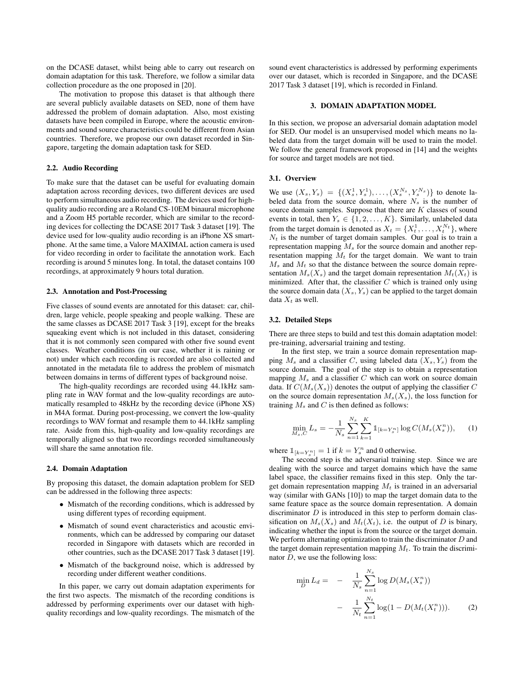on the DCASE dataset, whilst being able to carry out research on domain adaptation for this task. Therefore, we follow a similar data collection procedure as the one proposed in [20].

The motivation to propose this dataset is that although there are several publicly available datasets on SED, none of them have addressed the problem of domain adaptation. Also, most existing datasets have been compiled in Europe, where the acoustic environments and sound source characteristics could be different from Asian countries. Therefore, we propose our own dataset recorded in Singapore, targeting the domain adaptation task for SED.

#### 2.2. Audio Recording

To make sure that the dataset can be useful for evaluating domain adaptation across recording devices, two different devices are used to perform simultaneous audio recording. The devices used for highquality audio recording are a Roland CS-10EM binaural microphone and a Zoom H5 portable recorder, which are similar to the recording devices for collecting the DCASE 2017 Task 3 dataset [19]. The device used for low-quality audio recording is an iPhone XS smartphone. At the same time, a Valore MAXIMAL action camera is used for video recording in order to facilitate the annotation work. Each recording is around 5 minutes long. In total, the dataset contains 100 recordings, at approximately 9 hours total duration.

#### 2.3. Annotation and Post-Processing

Five classes of sound events are annotated for this dataset: car, children, large vehicle, people speaking and people walking. These are the same classes as DCASE 2017 Task 3 [19], except for the breaks squeaking event which is not included in this dataset, considering that it is not commonly seen compared with other five sound event classes. Weather conditions (in our case, whether it is raining or not) under which each recording is recorded are also collected and annotated in the metadata file to address the problem of mismatch between domains in terms of different types of background noise.

The high-quality recordings are recorded using 44.1kHz sampling rate in WAV format and the low-quality recordings are automatically resampled to 48kHz by the recording device (iPhone XS) in M4A format. During post-processing, we convert the low-quality recordings to WAV format and resample them to 44.1kHz sampling rate. Aside from this, high-quality and low-quality recordings are temporally aligned so that two recordings recorded simultaneously will share the same annotation file.

#### 2.4. Domain Adaptation

By proposing this dataset, the domain adaptation problem for SED can be addressed in the following three aspects:

- Mismatch of the recording conditions, which is addressed by using different types of recording equipment.
- Mismatch of sound event characteristics and acoustic environments, which can be addressed by comparing our dataset recorded in Singapore with datasets which are recorded in other countries, such as the DCASE 2017 Task 3 dataset [19].
- Mismatch of the background noise, which is addressed by recording under different weather conditions.

In this paper, we carry out domain adaptation experiments for the first two aspects. The mismatch of the recording conditions is addressed by performing experiments over our dataset with highquality recordings and low-quality recordings. The mismatch of the sound event characteristics is addressed by performing experiments over our dataset, which is recorded in Singapore, and the DCASE 2017 Task 3 dataset [19], which is recorded in Finland.

#### 3. DOMAIN ADAPTATION MODEL

In this section, we propose an adversarial domain adaptation model for SED. Our model is an unsupervised model which means no labeled data from the target domain will be used to train the model. We follow the general framework proposed in [14] and the weights for source and target models are not tied.

#### 3.1. Overview

We use  $(X_s, Y_s) = \{ (X_s^1, Y_s^1), \ldots, (X_s^{N_s}, Y_s^{N_s}) \}$  to denote labeled data from the source domain, where  $N<sub>s</sub>$  is the number of source domain samples. Suppose that there are  $K$  classes of sound events in total, then  $Y_s \in \{1, 2, \ldots, K\}$ . Similarly, unlabeled data from the target domain is denoted as  $X_t = \{X_t^1, \dots, X_t^{N_t}\}$ , where  $N_t$  is the number of target domain samples. Our goal is to train a representation mapping  $M_s$  for the source domain and another representation mapping  $M_t$  for the target domain. We want to train  $M_s$  and  $M_t$  so that the distance between the source domain representation  $M_s(X_s)$  and the target domain representation  $M_t(X_t)$  is minimized. After that, the classifier  $C$  which is trained only using the source domain data  $(X_s, Y_s)$  can be applied to the target domain data  $X_t$  as well.

#### 3.2. Detailed Steps

There are three steps to build and test this domain adaptation model: pre-training, adversarial training and testing.

In the first step, we train a source domain representation mapping  $M_s$  and a classifier C, using labeled data  $(X_s, Y_s)$  from the source domain. The goal of the step is to obtain a representation mapping  $M_s$  and a classifier C which can work on source domain data. If  $C(M_s(X_s))$  denotes the output of applying the classifier C on the source domain representation  $M_s(X_s)$ , the loss function for training  $M_s$  and C is then defined as follows:

$$
\min_{M_s, C} L_s = -\frac{1}{N_s} \sum_{n=1}^{N_s} \sum_{k=1}^{K} \mathbb{1}_{[k=Y_s^n]} \log C(M_s(X_s^n)), \quad (1)
$$

where  $\mathbb{1}_{[k=Y_s^n]} = 1$  if  $k = Y_s^n$  and 0 otherwise.

The second step is the adversarial training step. Since we are dealing with the source and target domains which have the same label space, the classifier remains fixed in this step. Only the target domain representation mapping  $M_t$  is trained in an adversarial way (similar with GANs [10]) to map the target domain data to the same feature space as the source domain representation. A domain discriminator  $D$  is introduced in this step to perform domain classification on  $M_s(X_s)$  and  $M_t(X_t)$ , i.e. the output of D is binary, indicating whether the input is from the source or the target domain. We perform alternating optimization to train the discriminator  $D$  and the target domain representation mapping  $M_t$ . To train the discriminator  $D$ , we use the following loss:

$$
\min_{D} L_d = - \frac{1}{N_s} \sum_{n=1}^{N_s} \log D(M_s(X_s^n)) - \frac{1}{N_t} \sum_{n=1}^{N_t} \log(1 - D(M_t(X_t^n))).
$$
 (2)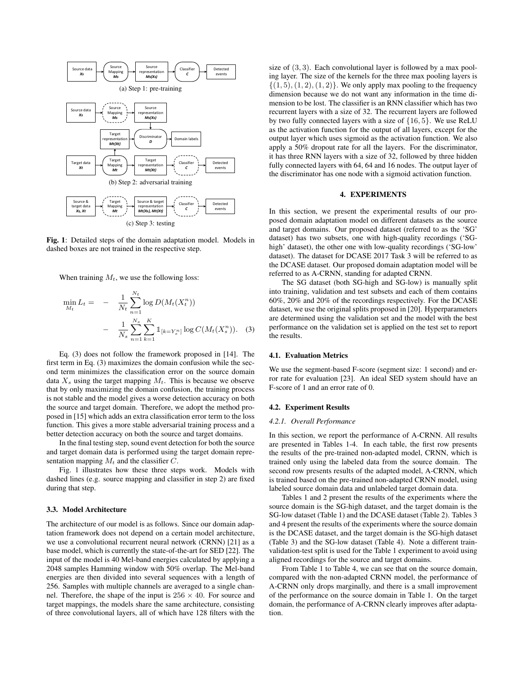

Fig. 1: Detailed steps of the domain adaptation model. Models in dashed boxes are not trained in the respective step.

When training  $M_t$ , we use the following loss:

$$
\min_{M_t} L_t = - \frac{1}{N_t} \sum_{n=1}^{N_t} \log D(M_t(X_t^n))
$$

$$
- \frac{1}{N_s} \sum_{n=1}^{N_s} \sum_{k=1}^{K} \mathbb{1}_{[k=Y_s^n]} \log C(M_t(X_s^n)). \quad (3)
$$

Eq. (3) does not follow the framework proposed in [14]. The first term in Eq. (3) maximizes the domain confusion while the second term minimizes the classification error on the source domain data  $X_s$  using the target mapping  $M_t$ . This is because we observe that by only maximizing the domain confusion, the training process is not stable and the model gives a worse detection accuracy on both the source and target domain. Therefore, we adopt the method proposed in [15] which adds an extra classification error term to the loss function. This gives a more stable adversarial training process and a better detection accuracy on both the source and target domains.

In the final testing step, sound event detection for both the source and target domain data is performed using the target domain representation mapping  $M_t$  and the classifier C.

Fig. 1 illustrates how these three steps work. Models with dashed lines (e.g. source mapping and classifier in step 2) are fixed during that step.

#### 3.3. Model Architecture

The architecture of our model is as follows. Since our domain adaptation framework does not depend on a certain model architecture, we use a convolutional recurrent neural network (CRNN) [21] as a base model, which is currently the state-of-the-art for SED [22]. The input of the model is 40 Mel-band energies calculated by applying a 2048 samples Hamming window with 50% overlap. The Mel-band energies are then divided into several sequences with a length of 256. Samples with multiple channels are averaged to a single channel. Therefore, the shape of the input is  $256 \times 40$ . For source and target mappings, the models share the same architecture, consisting of three convolutional layers, all of which have 128 filters with the

size of (3, 3). Each convolutional layer is followed by a max pooling layer. The size of the kernels for the three max pooling layers is  $\{(1, 5), (1, 2), (1, 2)\}.$  We only apply max pooling to the frequency dimension because we do not want any information in the time dimension to be lost. The classifier is an RNN classifier which has two recurrent layers with a size of 32. The recurrent layers are followed by two fully connected layers with a size of {16, 5}. We use ReLU as the activation function for the output of all layers, except for the output layer which uses sigmoid as the activation function. We also apply a 50% dropout rate for all the layers. For the discriminator, it has three RNN layers with a size of 32, followed by three hidden fully connected layers with 64, 64 and 16 nodes. The output layer of the discriminator has one node with a sigmoid activation function.

## 4. EXPERIMENTS

In this section, we present the experimental results of our proposed domain adaptation model on different datasets as the source and target domains. Our proposed dataset (referred to as the 'SG' dataset) has two subsets, one with high-quality recordings ('SGhigh' dataset), the other one with low-quality recordings ('SG-low' dataset). The dataset for DCASE 2017 Task 3 will be referred to as the DCASE dataset. Our proposed domain adaptation model will be referred to as A-CRNN, standing for adapted CRNN.

The SG dataset (both SG-high and SG-low) is manually split into training, validation and test subsets and each of them contains 60%, 20% and 20% of the recordings respectively. For the DCASE dataset, we use the original splits proposed in [20]. Hyperparameters are determined using the validation set and the model with the best performance on the validation set is applied on the test set to report the results.

#### 4.1. Evaluation Metrics

We use the segment-based F-score (segment size: 1 second) and error rate for evaluation [23]. An ideal SED system should have an F-score of 1 and an error rate of 0.

#### 4.2. Experiment Results

## *4.2.1. Overall Performance*

In this section, we report the performance of A-CRNN. All results are presented in Tables 1-4. In each table, the first row presents the results of the pre-trained non-adapted model, CRNN, which is trained only using the labeled data from the source domain. The second row presents results of the adapted model, A-CRNN, which is trained based on the pre-trained non-adapted CRNN model, using labeled source domain data and unlabeled target domain data.

Tables 1 and 2 present the results of the experiments where the source domain is the SG-high dataset, and the target domain is the SG-low dataset (Table 1) and the DCASE dataset (Table 2). Tables 3 and 4 present the results of the experiments where the source domain is the DCASE dataset, and the target domain is the SG-high dataset (Table 3) and the SG-low dataset (Table 4). Note a different trainvalidation-test split is used for the Table 1 experiment to avoid using aligned recordings for the source and target domains.

From Table 1 to Table 4, we can see that on the source domain, compared with the non-adapted CRNN model, the performance of A-CRNN only drops marginally, and there is a small improvement of the performance on the source domain in Table 1. On the target domain, the performance of A-CRNN clearly improves after adaptation.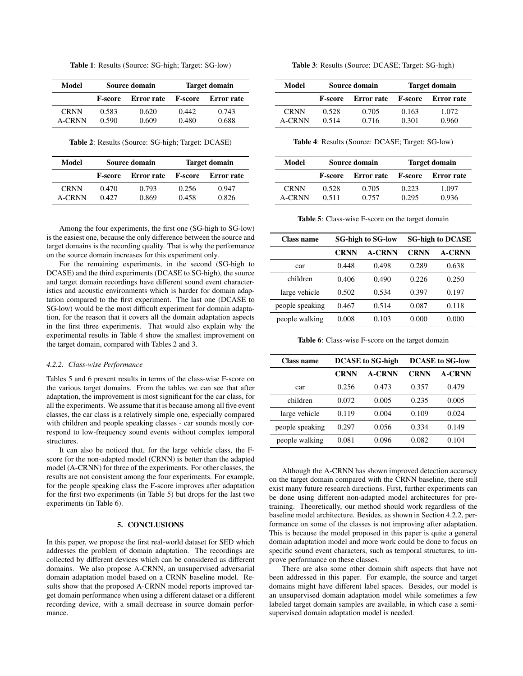| <b>Table 1</b> : Results (Source: SG-high; Target: SG-low) |  |  |  |  |
|------------------------------------------------------------|--|--|--|--|
|------------------------------------------------------------|--|--|--|--|

| Model                 | Source domain         |                |                | <b>Target domain</b> |
|-----------------------|-----------------------|----------------|----------------|----------------------|
|                       | Error rate<br>F-score |                | <b>F-score</b> | Error rate           |
| <b>CRNN</b><br>A-CRNN | 0.583<br>0.590        | 0.620<br>0.609 | 0.442<br>0.480 | 0.743<br>0.688       |

Table 2: Results (Source: SG-high; Target: DCASE)

| Model                        | Source domain         |                |                | <b>Target domain</b> |
|------------------------------|-----------------------|----------------|----------------|----------------------|
|                              | Error rate<br>F-score |                | <b>F-score</b> | Error rate           |
| <b>CRNN</b><br><b>A-CRNN</b> | 0.470<br>0.427        | 0.793<br>0.869 | 0.256<br>0.458 | 0.947<br>0.826       |

Among the four experiments, the first one (SG-high to SG-low) is the easiest one, because the only difference between the source and target domains is the recording quality. That is why the performance on the source domain increases for this experiment only.

For the remaining experiments, in the second (SG-high to DCASE) and the third experiments (DCASE to SG-high), the source and target domain recordings have different sound event characteristics and acoustic environments which is harder for domain adaptation compared to the first experiment. The last one (DCASE to SG-low) would be the most difficult experiment for domain adaptation, for the reason that it covers all the domain adaptation aspects in the first three experiments. That would also explain why the experimental results in Table 4 show the smallest improvement on the target domain, compared with Tables 2 and 3.

#### *4.2.2. Class-wise Performance*

Tables 5 and 6 present results in terms of the class-wise F-score on the various target domains. From the tables we can see that after adaptation, the improvement is most significant for the car class, for all the experiments. We assume that it is because among all five event classes, the car class is a relatively simple one, especially compared with children and people speaking classes - car sounds mostly correspond to low-frequency sound events without complex temporal structures.

It can also be noticed that, for the large vehicle class, the Fscore for the non-adapted model (CRNN) is better than the adapted model (A-CRNN) for three of the experiments. For other classes, the results are not consistent among the four experiments. For example, for the people speaking class the F-score improves after adaptation for the first two experiments (in Table 5) but drops for the last two experiments (in Table 6).

## 5. CONCLUSIONS

In this paper, we propose the first real-world dataset for SED which addresses the problem of domain adaptation. The recordings are collected by different devices which can be considered as different domains. We also propose A-CRNN, an unsupervised adversarial domain adaptation model based on a CRNN baseline model. Results show that the proposed A-CRNN model reports improved target domain performance when using a different dataset or a different recording device, with a small decrease in source domain performance.

Table 3: Results (Source: DCASE; Target: SG-high)

| Model                 | Source domain  |                   |                | <b>Target domain</b> |
|-----------------------|----------------|-------------------|----------------|----------------------|
|                       | <b>F-score</b> | <b>Error</b> rate | <b>F-score</b> | Error rate           |
| <b>CRNN</b><br>A-CRNN | 0.528<br>0.514 | 0.705<br>0.716    | 0.163<br>0.301 | 1.072<br>0.960       |

Table 4: Results (Source: DCASE; Target: SG-low)

| Model         | Source domain                |       |                | <b>Target domain</b> |
|---------------|------------------------------|-------|----------------|----------------------|
|               | Error rate<br><b>F-score</b> |       | <b>F-score</b> | Error rate           |
| <b>CRNN</b>   | 0.528                        | 0.705 | 0.223          | 1.097                |
| <b>A-CRNN</b> | 0.511                        | 0.757 | 0.295          | 0.936                |

Table 5: Class-wise F-score on the target domain

| Class name      | <b>SG-high to SG-low</b> |               | <b>SG-high to DCASE</b> |               |
|-----------------|--------------------------|---------------|-------------------------|---------------|
|                 | <b>CRNN</b>              | <b>A-CRNN</b> | <b>CRNN</b>             | <b>A-CRNN</b> |
| car             | 0.448                    | 0.498         | 0.289                   | 0.638         |
| children        | 0.406                    | 0.490         | 0.226                   | 0.250         |
| large vehicle   | 0.502                    | 0.534         | 0.397                   | 0.197         |
| people speaking | 0.467                    | 0.514         | 0.087                   | 0.118         |
| people walking  | 0.008                    | 0.103         | 0.000                   | 0.000         |

Table 6: Class-wise F-score on the target domain

| Class name      | <b>DCASE</b> to SG-high |               | <b>DCASE</b> to SG-low |               |
|-----------------|-------------------------|---------------|------------------------|---------------|
|                 | <b>CRNN</b>             | <b>A-CRNN</b> | <b>CRNN</b>            | <b>A-CRNN</b> |
| car             | 0.256                   | 0.473         | 0.357                  | 0.479         |
| children        | 0.072                   | 0.005         | 0.235                  | 0.005         |
| large vehicle   | 0.119                   | 0.004         | 0.109                  | 0.024         |
| people speaking | 0.297                   | 0.056         | 0.334                  | 0.149         |
| people walking  | 0.081                   | 0.096         | 0.082                  | 0.104         |

Although the A-CRNN has shown improved detection accuracy on the target domain compared with the CRNN baseline, there still exist many future research directions. First, further experiments can be done using different non-adapted model architectures for pretraining. Theoretically, our method should work regardless of the baseline model architecture. Besides, as shown in Section 4.2.2, performance on some of the classes is not improving after adaptation. This is because the model proposed in this paper is quite a general domain adaptation model and more work could be done to focus on specific sound event characters, such as temporal structures, to improve performance on these classes.

There are also some other domain shift aspects that have not been addressed in this paper. For example, the source and target domains might have different label spaces. Besides, our model is an unsupervised domain adaptation model while sometimes a few labeled target domain samples are available, in which case a semisupervised domain adaptation model is needed.